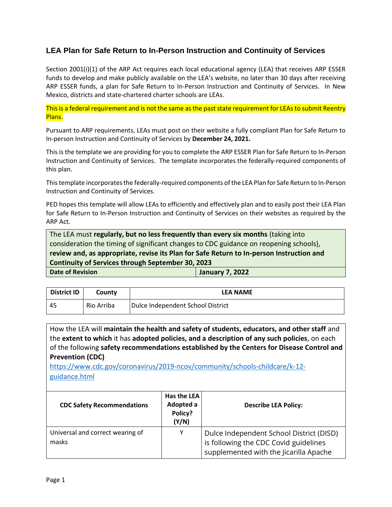## **LEA Plan for Safe Return to In-Person Instruction and Continuity of Services**

Section 2001(i)(1) of the ARP Act requires each local educational agency (LEA) that receives ARP ESSER funds to develop and make publicly available on the LEA's website, no later than 30 days after receiving ARP ESSER funds, a plan for Safe Return to In-Person Instruction and Continuity of Services. In New Mexico, districts and state-chartered charter schools are LEAs.

This is a federal requirement and is not the same as the past state requirement for LEAs to submit Reentry Plans.

Pursuant to ARP requirements, LEAs must post on their website a fully compliant Plan for Safe Return to In-person Instruction and Continuity of Services by **December 24, 2021.**

This is the template we are providing for you to complete the ARP ESSER Plan for Safe Return to In-Person Instruction and Continuity of Services. The template incorporates the federally-required components of this plan.

This template incorporates the federally-required components of the LEA Plan for Safe Return to In-Person Instruction and Continuity of Services.

PED hopes this template will allow LEAs to efficiently and effectively plan and to easily post their LEA Plan for Safe Return to In-Person Instruction and Continuity of Services on their websites as required by the ARP Act.

The LEA must **regularly, but no less frequently than every six months** (taking into consideration the timing of significant changes to CDC guidance on reopening schools), **review and, as appropriate, revise its Plan for Safe Return to In-person Instruction and Continuity of Services through September 30, 2023 Date of Revision January 7, 2022**

| <b>District ID</b> | Countv     | <b>LEA NAME</b>                   |
|--------------------|------------|-----------------------------------|
| 45                 | Rio Arriba | Dulce Independent School District |

How the LEA will **maintain the health and safety of students, educators, and other staff** and the **extent to which** it has **adopted policies, and a description of any such policies**, on each of the following **safety recommendations established by the Centers for Disease Control and Prevention (CDC)**

[https://www.cdc.gov/coronavirus/2019-ncov/community/schools-childcare/k-12](https://www.cdc.gov/coronavirus/2019-ncov/community/schools-childcare/k-12-guidance.html) [guidance.html](https://www.cdc.gov/coronavirus/2019-ncov/community/schools-childcare/k-12-guidance.html)

| <b>CDC Safety Recommendations</b>         | Has the LEA<br>Adopted a<br>Policy?<br>(Y/N) | <b>Describe LEA Policy:</b>                                                                                                 |
|-------------------------------------------|----------------------------------------------|-----------------------------------------------------------------------------------------------------------------------------|
| Universal and correct wearing of<br>masks | Y                                            | Dulce Independent School District (DISD)<br>is following the CDC Covid guidelines<br>supplemented with the Jicarilla Apache |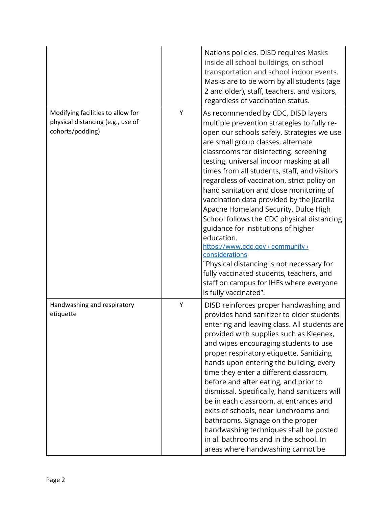|                                                                                            |   | Nations policies. DISD requires Masks<br>inside all school buildings, on school<br>transportation and school indoor events.<br>Masks are to be worn by all students (age<br>2 and older), staff, teachers, and visitors,<br>regardless of vaccination status.                                                                                                                                                                                                                                                                                                                                                                                                                                                                                                                                                      |
|--------------------------------------------------------------------------------------------|---|--------------------------------------------------------------------------------------------------------------------------------------------------------------------------------------------------------------------------------------------------------------------------------------------------------------------------------------------------------------------------------------------------------------------------------------------------------------------------------------------------------------------------------------------------------------------------------------------------------------------------------------------------------------------------------------------------------------------------------------------------------------------------------------------------------------------|
| Modifying facilities to allow for<br>physical distancing (e.g., use of<br>cohorts/podding) | Y | As recommended by CDC, DISD layers<br>multiple prevention strategies to fully re-<br>open our schools safely. Strategies we use<br>are small group classes, alternate<br>classrooms for disinfecting. screening<br>testing, universal indoor masking at all<br>times from all students, staff, and visitors<br>regardless of vaccination, strict policy on<br>hand sanitation and close monitoring of<br>vaccination data provided by the Jicarilla<br>Apache Homeland Security. Dulce High<br>School follows the CDC physical distancing<br>guidance for institutions of higher<br>education.<br>https://www.cdc.gov > community ><br>considerations<br>"Physical distancing is not necessary for<br>fully vaccinated students, teachers, and<br>staff on campus for IHEs where everyone<br>is fully vaccinated". |
| Handwashing and respiratory<br>etiquette                                                   | Υ | DISD reinforces proper handwashing and<br>provides hand sanitizer to older students<br>entering and leaving class. All students are<br>provided with supplies such as Kleenex,<br>and wipes encouraging students to use<br>proper respiratory etiquette. Sanitizing<br>hands upon entering the building, every<br>time they enter a different classroom,<br>before and after eating, and prior to<br>dismissal. Specifically, hand sanitizers will<br>be in each classroom, at entrances and<br>exits of schools, near lunchrooms and<br>bathrooms. Signage on the proper<br>handwashing techniques shall be posted<br>in all bathrooms and in the school. In<br>areas where handwashing cannot be                                                                                                                 |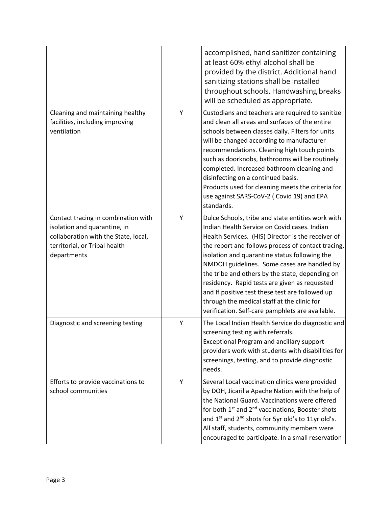|                                                                                                                                                             |   | accomplished, hand sanitizer containing<br>at least 60% ethyl alcohol shall be<br>provided by the district. Additional hand<br>sanitizing stations shall be installed<br>throughout schools. Handwashing breaks<br>will be scheduled as appropriate.                                                                                                                                                                                                                                                                                                                    |
|-------------------------------------------------------------------------------------------------------------------------------------------------------------|---|-------------------------------------------------------------------------------------------------------------------------------------------------------------------------------------------------------------------------------------------------------------------------------------------------------------------------------------------------------------------------------------------------------------------------------------------------------------------------------------------------------------------------------------------------------------------------|
| Cleaning and maintaining healthy<br>facilities, including improving<br>ventilation                                                                          | Υ | Custodians and teachers are required to sanitize<br>and clean all areas and surfaces of the entire<br>schools between classes daily. Filters for units<br>will be changed according to manufacturer<br>recommendations. Cleaning high touch points<br>such as doorknobs, bathrooms will be routinely<br>completed. Increased bathroom cleaning and<br>disinfecting on a continued basis.<br>Products used for cleaning meets the criteria for<br>use against SARS-CoV-2 (Covid 19) and EPA<br>standards.                                                                |
| Contact tracing in combination with<br>isolation and quarantine, in<br>collaboration with the State, local,<br>territorial, or Tribal health<br>departments | Υ | Dulce Schools, tribe and state entities work with<br>Indian Health Service on Covid cases, Indian<br>Health Services. (HIS) Director is the receiver of<br>the report and follows process of contact tracing,<br>isolation and quarantine status following the<br>NMDOH guidelines. Some cases are handled by<br>the tribe and others by the state, depending on<br>residency. Rapid tests are given as requested<br>and If positive test these test are followed up<br>through the medical staff at the clinic for<br>verification. Self-care pamphlets are available. |
| Diagnostic and screening testing                                                                                                                            | Υ | The Local Indian Health Service do diagnostic and<br>screening testing with referrals.<br>Exceptional Program and ancillary support<br>providers work with students with disabilities for<br>screenings, testing, and to provide diagnostic<br>needs.                                                                                                                                                                                                                                                                                                                   |
| Efforts to provide vaccinations to<br>school communities                                                                                                    | Y | Several Local vaccination clinics were provided<br>by DOH, Jicarilla Apache Nation with the help of<br>the National Guard. Vaccinations were offered<br>for both 1 <sup>st</sup> and 2 <sup>nd</sup> vaccinations, Booster shots<br>and 1 <sup>st</sup> and 2 <sup>nd</sup> shots for 5yr old's to 11yr old's.<br>All staff, students, community members were<br>encouraged to participate. In a small reservation                                                                                                                                                      |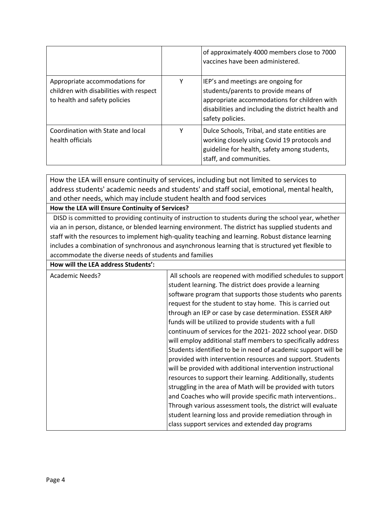|                                                                                                            |   | of approximately 4000 members close to 7000<br>vaccines have been administered.                                                                                                                      |
|------------------------------------------------------------------------------------------------------------|---|------------------------------------------------------------------------------------------------------------------------------------------------------------------------------------------------------|
| Appropriate accommodations for<br>children with disabilities with respect<br>to health and safety policies | Y | IEP's and meetings are ongoing for<br>students/parents to provide means of<br>appropriate accommodations for children with<br>disabilities and including the district health and<br>safety policies. |
| Coordination with State and local<br>health officials                                                      | ٧ | Dulce Schools, Tribal, and state entities are<br>working closely using Covid 19 protocols and<br>guideline for health, safety among students,<br>staff, and communities.                             |

How the LEA will ensure continuity of services, including but not limited to services to address students' academic needs and students' and staff social, emotional, mental health, and other needs, which may include student health and food services

### **How the LEA will Ensure Continuity of Services?**

 DISD is committed to providing continuity of instruction to students during the school year, whether via an in person, distance, or blended learning environment. The district has supplied students and staff with the resources to implement high-quality teaching and learning. Robust distance learning includes a combination of synchronous and asynchronous learning that is structured yet flexible to accommodate the diverse needs of students and families

**How will the LEA address Students':**

| Academic Needs? | All schools are reopened with modified schedules to support<br>student learning. The district does provide a learning<br>software program that supports those students who parents<br>request for the student to stay home. This is carried out<br>through an IEP or case by case determination. ESSER ARP<br>funds will be utilized to provide students with a full<br>continuum of services for the 2021-2022 school year. DISD<br>will employ additional staff members to specifically address<br>Students identified to be in need of academic support will be<br>provided with intervention resources and support. Students<br>will be provided with additional intervention instructional<br>resources to support their learning. Additionally, students<br>struggling in the area of Math will be provided with tutors<br>and Coaches who will provide specific math interventions<br>Through various assessment tools, the district will evaluate |
|-----------------|-----------------------------------------------------------------------------------------------------------------------------------------------------------------------------------------------------------------------------------------------------------------------------------------------------------------------------------------------------------------------------------------------------------------------------------------------------------------------------------------------------------------------------------------------------------------------------------------------------------------------------------------------------------------------------------------------------------------------------------------------------------------------------------------------------------------------------------------------------------------------------------------------------------------------------------------------------------|
|                 | student learning loss and provide remediation through in<br>class support services and extended day programs                                                                                                                                                                                                                                                                                                                                                                                                                                                                                                                                                                                                                                                                                                                                                                                                                                              |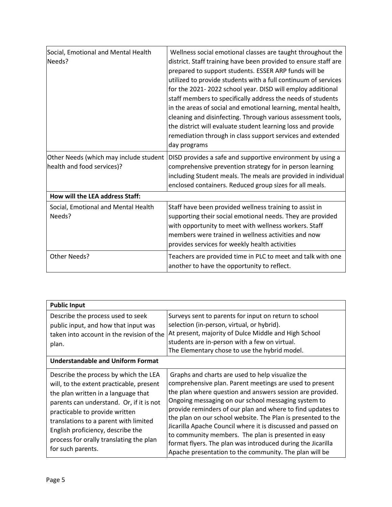| Social, Emotional and Mental Health<br>Needs?                        | Wellness social emotional classes are taught throughout the<br>district. Staff training have been provided to ensure staff are<br>prepared to support students. ESSER ARP funds will be<br>utilized to provide students with a full continuum of services<br>for the 2021-2022 school year. DISD will employ additional<br>staff members to specifically address the needs of students<br>in the areas of social and emotional learning, mental health,<br>cleaning and disinfecting. Through various assessment tools,<br>the district will evaluate student learning loss and provide<br>remediation through in class support services and extended<br>day programs |
|----------------------------------------------------------------------|-----------------------------------------------------------------------------------------------------------------------------------------------------------------------------------------------------------------------------------------------------------------------------------------------------------------------------------------------------------------------------------------------------------------------------------------------------------------------------------------------------------------------------------------------------------------------------------------------------------------------------------------------------------------------|
| Other Needs (which may include student<br>health and food services)? | DISD provides a safe and supportive environment by using a<br>comprehensive prevention strategy for in person learning<br>including Student meals. The meals are provided in individual<br>enclosed containers. Reduced group sizes for all meals.                                                                                                                                                                                                                                                                                                                                                                                                                    |
| How will the LEA address Staff:                                      |                                                                                                                                                                                                                                                                                                                                                                                                                                                                                                                                                                                                                                                                       |
| Social, Emotional and Mental Health<br>Needs?                        | Staff have been provided wellness training to assist in<br>supporting their social emotional needs. They are provided<br>with opportunity to meet with wellness workers. Staff<br>members were trained in wellness activities and now<br>provides services for weekly health activities                                                                                                                                                                                                                                                                                                                                                                               |
| Other Needs?                                                         | Teachers are provided time in PLC to meet and talk with one<br>another to have the opportunity to reflect.                                                                                                                                                                                                                                                                                                                                                                                                                                                                                                                                                            |

| <b>Public Input</b>                                                                                                                                                                                                                                                                                                                                  |                                                                                                                                                                                                                                                                                                                                                                                                                                                                                                                                                                                                               |  |  |
|------------------------------------------------------------------------------------------------------------------------------------------------------------------------------------------------------------------------------------------------------------------------------------------------------------------------------------------------------|---------------------------------------------------------------------------------------------------------------------------------------------------------------------------------------------------------------------------------------------------------------------------------------------------------------------------------------------------------------------------------------------------------------------------------------------------------------------------------------------------------------------------------------------------------------------------------------------------------------|--|--|
| Describe the process used to seek<br>public input, and how that input was<br>taken into account in the revision of the<br>plan.                                                                                                                                                                                                                      | Surveys sent to parents for input on return to school<br>selection (in-person, virtual, or hybrid).<br>At present, majority of Dulce Middle and High School<br>students are in-person with a few on virtual.<br>The Elementary chose to use the hybrid model.                                                                                                                                                                                                                                                                                                                                                 |  |  |
| <b>Understandable and Uniform Format</b>                                                                                                                                                                                                                                                                                                             |                                                                                                                                                                                                                                                                                                                                                                                                                                                                                                                                                                                                               |  |  |
| Describe the process by which the LEA<br>will, to the extent practicable, present<br>the plan written in a language that<br>parents can understand. Or, if it is not<br>practicable to provide written<br>translations to a parent with limited<br>English proficiency, describe the<br>process for orally translating the plan<br>for such parents. | Graphs and charts are used to help visualize the<br>comprehensive plan. Parent meetings are used to present<br>the plan where question and answers session are provided.<br>Ongoing messaging on our school messaging system to<br>provide reminders of our plan and where to find updates to<br>the plan on our school website. The Plan is presented to the<br>Jicarilla Apache Council where it is discussed and passed on<br>to community members. The plan is presented in easy<br>format flyers. The plan was introduced during the Jicarilla<br>Apache presentation to the community. The plan will be |  |  |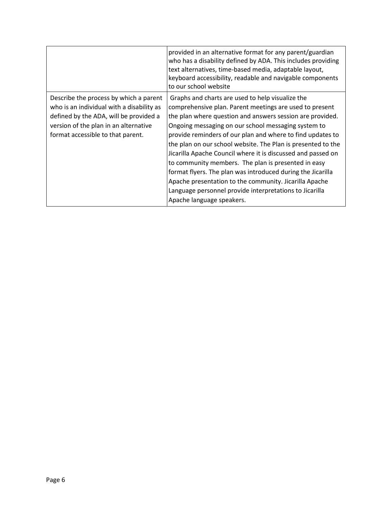|                                                                                                                                                                                                             | provided in an alternative format for any parent/guardian<br>who has a disability defined by ADA. This includes providing<br>text alternatives, time-based media, adaptable layout,<br>keyboard accessibility, readable and navigable components<br>to our school website                                                                                                                                                                                                                                                                                                                                                                                                                             |
|-------------------------------------------------------------------------------------------------------------------------------------------------------------------------------------------------------------|-------------------------------------------------------------------------------------------------------------------------------------------------------------------------------------------------------------------------------------------------------------------------------------------------------------------------------------------------------------------------------------------------------------------------------------------------------------------------------------------------------------------------------------------------------------------------------------------------------------------------------------------------------------------------------------------------------|
| Describe the process by which a parent<br>who is an individual with a disability as<br>defined by the ADA, will be provided a<br>version of the plan in an alternative<br>format accessible to that parent. | Graphs and charts are used to help visualize the<br>comprehensive plan. Parent meetings are used to present<br>the plan where question and answers session are provided.<br>Ongoing messaging on our school messaging system to<br>provide reminders of our plan and where to find updates to<br>the plan on our school website. The Plan is presented to the<br>Jicarilla Apache Council where it is discussed and passed on<br>to community members. The plan is presented in easy<br>format flyers. The plan was introduced during the Jicarilla<br>Apache presentation to the community. Jicarilla Apache<br>Language personnel provide interpretations to Jicarilla<br>Apache language speakers. |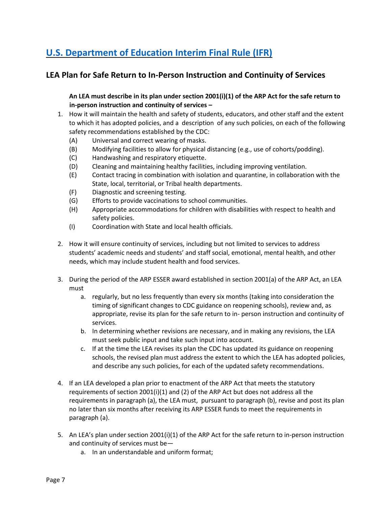# **[U.S. Department of Education Interim Final Rule \(IFR\)](https://www.govinfo.gov/content/pkg/FR-2021-04-22/pdf/2021-08359.pdf)**

# **LEA Plan for Safe Return to In-Person Instruction and Continuity of Services**

**An LEA must describe in its plan under section 2001(i)(1) of the ARP Act for the safe return to in-person instruction and continuity of services –**

- 1. How it will maintain the health and safety of students, educators, and other staff and the extent to which it has adopted policies, and a description of any such policies, on each of the following safety recommendations established by the CDC:
	- (A) Universal and correct wearing of masks.
	- (B) Modifying facilities to allow for physical distancing (e.g., use of cohorts/podding).
	- (C) Handwashing and respiratory etiquette.
	- (D) Cleaning and maintaining healthy facilities, including improving ventilation.
	- (E) Contact tracing in combination with isolation and quarantine, in collaboration with the State, local, territorial, or Tribal health departments.
	- (F) Diagnostic and screening testing.
	- (G) Efforts to provide vaccinations to school communities.
	- (H) Appropriate accommodations for children with disabilities with respect to health and safety policies.
	- (I) Coordination with State and local health officials.
- 2. How it will ensure continuity of services, including but not limited to services to address students' academic needs and students' and staff social, emotional, mental health, and other needs, which may include student health and food services.
- 3. During the period of the ARP ESSER award established in section 2001(a) of the ARP Act, an LEA must
	- a. regularly, but no less frequently than every six months (taking into consideration the timing of significant changes to CDC guidance on reopening schools), review and, as appropriate, revise its plan for the safe return to in- person instruction and continuity of services.
	- b. In determining whether revisions are necessary, and in making any revisions, the LEA must seek public input and take such input into account.
	- c. If at the time the LEA revises its plan the CDC has updated its guidance on reopening schools, the revised plan must address the extent to which the LEA has adopted policies, and describe any such policies, for each of the updated safety recommendations.
- 4. If an LEA developed a plan prior to enactment of the ARP Act that meets the statutory requirements of section  $2001(i)(1)$  and (2) of the ARP Act but does not address all the requirements in paragraph (a), the LEA must, pursuant to paragraph (b), revise and post its plan no later than six months after receiving its ARP ESSER funds to meet the requirements in paragraph (a).
- 5. An LEA's plan under section 2001(i)(1) of the ARP Act for the safe return to in-person instruction and continuity of services must be
	- a. In an understandable and uniform format;